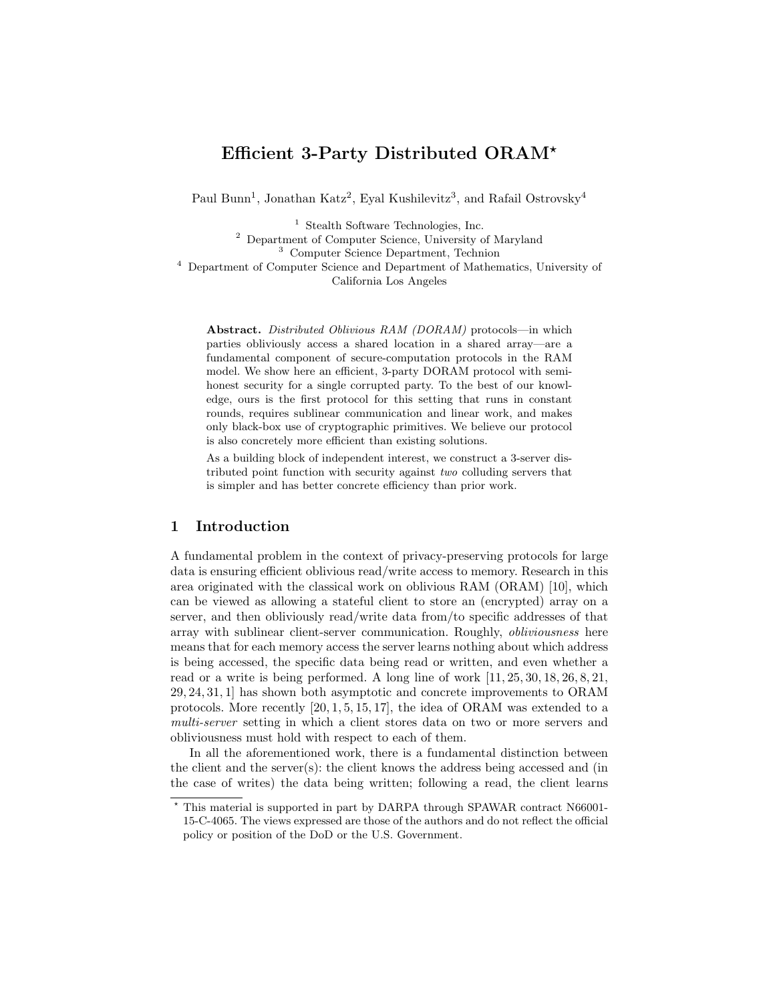# Efficient 3-Party Distributed ORAM?

Paul Bunn<sup>1</sup>, Jonathan Katz<sup>2</sup>, Eyal Kushilevitz<sup>3</sup>, and Rafail Ostrovsky<sup>4</sup>

 $^{\rm 1}$  Stealth Software Technologies, Inc.

<sup>2</sup> Department of Computer Science, University of Maryland

<sup>3</sup> Computer Science Department, Technion

<sup>4</sup> Department of Computer Science and Department of Mathematics, University of California Los Angeles

Abstract. Distributed Oblivious RAM (DORAM) protocols—in which parties obliviously access a shared location in a shared array—are a fundamental component of secure-computation protocols in the RAM model. We show here an efficient, 3-party DORAM protocol with semihonest security for a single corrupted party. To the best of our knowledge, ours is the first protocol for this setting that runs in constant rounds, requires sublinear communication and linear work, and makes only black-box use of cryptographic primitives. We believe our protocol is also concretely more efficient than existing solutions.

As a building block of independent interest, we construct a 3-server distributed point function with security against two colluding servers that is simpler and has better concrete efficiency than prior work.

### 1 Introduction

A fundamental problem in the context of privacy-preserving protocols for large data is ensuring efficient oblivious read/write access to memory. Research in this area originated with the classical work on oblivious RAM (ORAM) [10], which can be viewed as allowing a stateful client to store an (encrypted) array on a server, and then obliviously read/write data from/to specific addresses of that array with sublinear client-server communication. Roughly, obliviousness here means that for each memory access the server learns nothing about which address is being accessed, the specific data being read or written, and even whether a read or a write is being performed. A long line of work [11, 25, 30, 18, 26, 8, 21, 29, 24, 31, 1] has shown both asymptotic and concrete improvements to ORAM protocols. More recently [20, 1, 5, 15, 17], the idea of ORAM was extended to a multi-server setting in which a client stores data on two or more servers and obliviousness must hold with respect to each of them.

In all the aforementioned work, there is a fundamental distinction between the client and the server(s): the client knows the address being accessed and (in the case of writes) the data being written; following a read, the client learns

<sup>?</sup> This material is supported in part by DARPA through SPAWAR contract N66001- 15-C-4065. The views expressed are those of the authors and do not reflect the official policy or position of the DoD or the U.S. Government.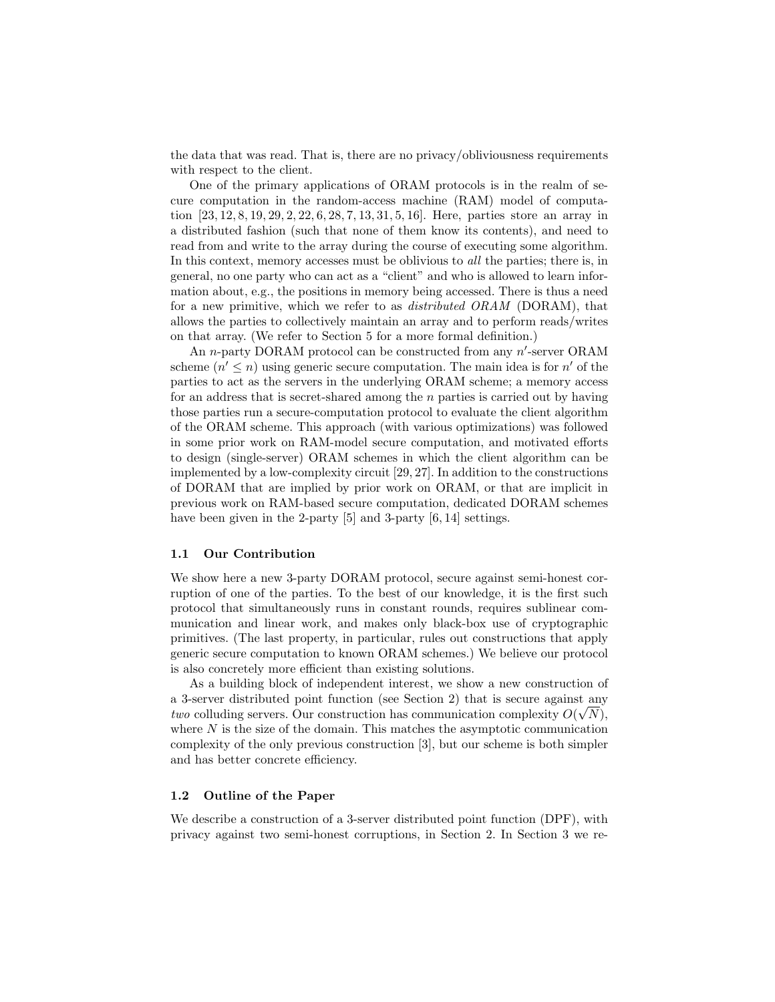the data that was read. That is, there are no privacy/obliviousness requirements with respect to the client.

One of the primary applications of ORAM protocols is in the realm of secure computation in the random-access machine (RAM) model of computation [23, 12, 8, 19, 29, 2, 22, 6, 28, 7, 13, 31, 5, 16]. Here, parties store an array in a distributed fashion (such that none of them know its contents), and need to read from and write to the array during the course of executing some algorithm. In this context, memory accesses must be oblivious to all the parties; there is, in general, no one party who can act as a "client" and who is allowed to learn information about, e.g., the positions in memory being accessed. There is thus a need for a new primitive, which we refer to as distributed ORAM (DORAM), that allows the parties to collectively maintain an array and to perform reads/writes on that array. (We refer to Section 5 for a more formal definition.)

An *n*-party DORAM protocol can be constructed from any  $n'$ -server ORAM scheme  $(n' \leq n)$  using generic secure computation. The main idea is for n' of the parties to act as the servers in the underlying ORAM scheme; a memory access for an address that is secret-shared among the  $n$  parties is carried out by having those parties run a secure-computation protocol to evaluate the client algorithm of the ORAM scheme. This approach (with various optimizations) was followed in some prior work on RAM-model secure computation, and motivated efforts to design (single-server) ORAM schemes in which the client algorithm can be implemented by a low-complexity circuit [29, 27]. In addition to the constructions of DORAM that are implied by prior work on ORAM, or that are implicit in previous work on RAM-based secure computation, dedicated DORAM schemes have been given in the 2-party [5] and 3-party [6, 14] settings.

#### 1.1 Our Contribution

We show here a new 3-party DORAM protocol, secure against semi-honest corruption of one of the parties. To the best of our knowledge, it is the first such protocol that simultaneously runs in constant rounds, requires sublinear communication and linear work, and makes only black-box use of cryptographic primitives. (The last property, in particular, rules out constructions that apply generic secure computation to known ORAM schemes.) We believe our protocol is also concretely more efficient than existing solutions.

As a building block of independent interest, we show a new construction of a 3-server distributed point function (see Section 2) that is secure against any two colluding servers. Our construction has communication complexity  $O(\sqrt{N})$ , where  $N$  is the size of the domain. This matches the asymptotic communication complexity of the only previous construction [3], but our scheme is both simpler and has better concrete efficiency.

#### 1.2 Outline of the Paper

We describe a construction of a 3-server distributed point function (DPF), with privacy against two semi-honest corruptions, in Section 2. In Section 3 we re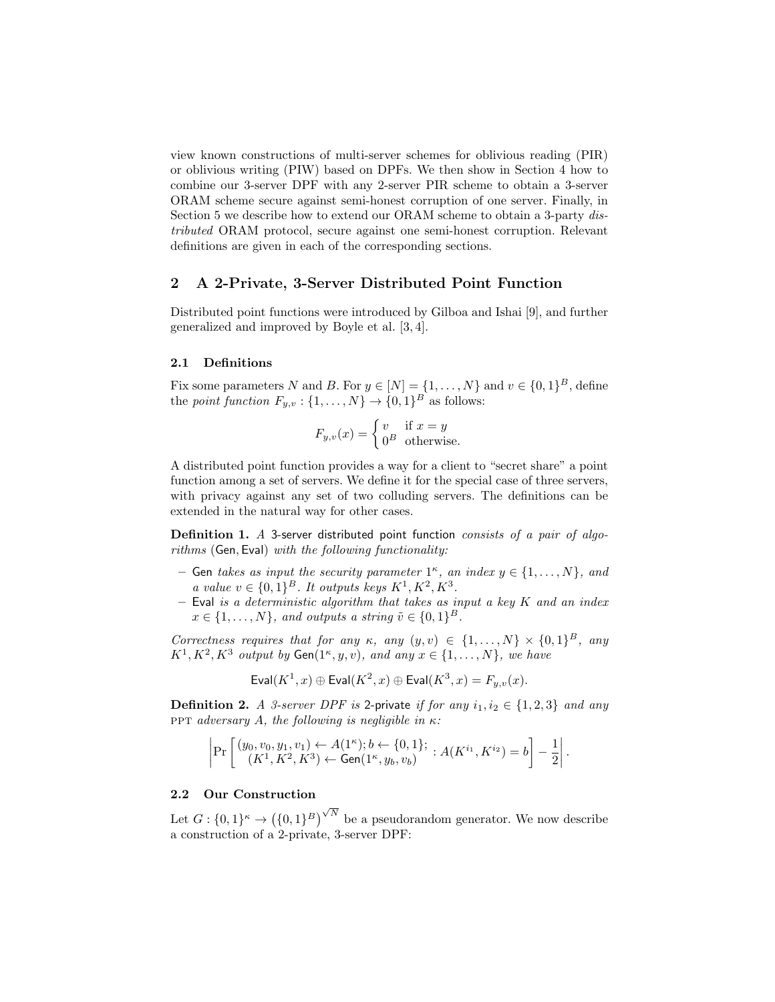view known constructions of multi-server schemes for oblivious reading (PIR) or oblivious writing (PIW) based on DPFs. We then show in Section 4 how to combine our 3-server DPF with any 2-server PIR scheme to obtain a 3-server ORAM scheme secure against semi-honest corruption of one server. Finally, in Section 5 we describe how to extend our ORAM scheme to obtain a 3-party distributed ORAM protocol, secure against one semi-honest corruption. Relevant definitions are given in each of the corresponding sections.

#### 2 A 2-Private, 3-Server Distributed Point Function

Distributed point functions were introduced by Gilboa and Ishai [9], and further generalized and improved by Boyle et al. [3, 4].

#### 2.1 Definitions

Fix some parameters N and B. For  $y \in [N] = \{1, \ldots, N\}$  and  $v \in \{0, 1\}^B$ , define the *point function*  $F_{y,v}$ :  $\{1,\ldots,N\} \to \{0,1\}^B$  as follows:

$$
F_{y,v}(x) = \begin{cases} v & \text{if } x = y \\ 0^B & \text{otherwise.} \end{cases}
$$

A distributed point function provides a way for a client to "secret share" a point function among a set of servers. We define it for the special case of three servers, with privacy against any set of two colluding servers. The definitions can be extended in the natural way for other cases.

Definition 1. A 3-server distributed point function consists of a pair of algorithms (Gen, Eval) with the following functionality:

- $-$  Gen takes as input the security parameter  $1^{\kappa}$ , an index  $y \in \{1, \ldots, N\}$ , and a value  $v \in \{0,1\}^B$ . It outputs keys  $K^1, K^2, K^3$ .
- $-$  Eval is a deterministic algorithm that takes as input a key  $K$  and an index  $x \in \{1, \ldots, N\}$ , and outputs a string  $\tilde{v} \in \{0, 1\}^B$ .

Correctness requires that for any  $\kappa$ , any  $(y, v) \in \{1, ..., N\} \times \{0, 1\}^B$ , any  $K^1, K^2, K^3$  output by  $Gen(1^{\kappa}, y, v)$ , and any  $x \in \{1, \ldots, N\}$ , we have

$$
\text{Eval}(K^1, x) \oplus \text{Eval}(K^2, x) \oplus \text{Eval}(K^3, x) = F_{y,v}(x).
$$

**Definition 2.** A 3-server DPF is 2-private if for any  $i_1, i_2 \in \{1, 2, 3\}$  and any ppt adversary A, the following is negligible in κ:

$$
\left|\Pr\left[\begin{array}{c}(y_0, v_0, y_1, v_1) \leftarrow A(1^{\kappa}); b \leftarrow \{0, 1\};\\ (K^1, K^2, K^3) \leftarrow \text{Gen}(1^{\kappa}, y_b, v_b)\end{array}: A(K^{i_1}, K^{i_2}) = b\right] - \frac{1}{2}\right|\right|.
$$

# 2.2 Our Construction

Let  $G: \{0,1\}^{\kappa} \to (\{0,1\}^B)$  $\sqrt{N}$  be a pseudorandom generator. We now describe a construction of a 2-private, 3-server DPF: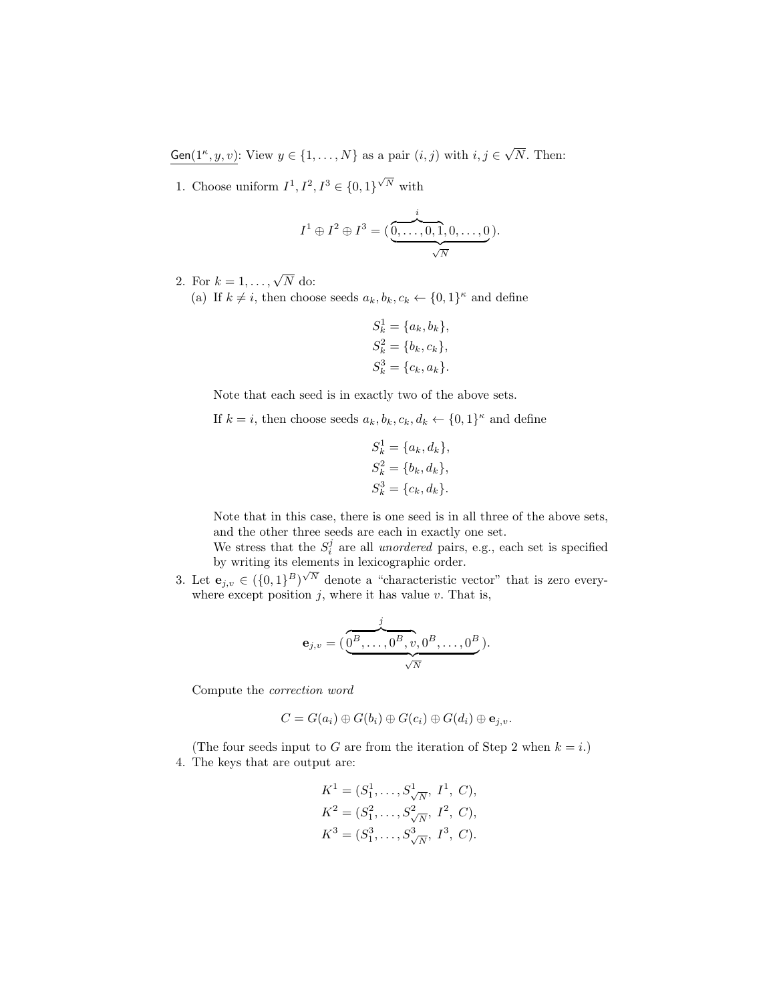Gen $(1^{\kappa}, y, v)$ : View  $y \in \{1, ..., N\}$  as a pair  $(i, j)$  with  $i, j \in$ √ N. Then:

1. Choose uniform  $I^1, I^2, I^3 \in \{0, 1\}^{\sqrt{N}}$  with

$$
I^{1} \oplus I^{2} \oplus I^{3} = (\underbrace{\overset{i}{\underset{\smile}{0,\ldots,0,1,0,\ldots,0}}}).
$$

- 2. For  $k = 1, \ldots, \sqrt{N}$  do:
	- (a) If  $k \neq i$ , then choose seeds  $a_k, b_k, c_k \leftarrow \{0, 1\}^{\kappa}$  and define

$$
S_k^1 = \{a_k, b_k\},
$$
  
\n
$$
S_k^2 = \{b_k, c_k\},
$$
  
\n
$$
S_k^3 = \{c_k, a_k\}.
$$

Note that each seed is in exactly two of the above sets.

If  $k = i$ , then choose seeds  $a_k, b_k, c_k, d_k \leftarrow \{0, 1\}^{\kappa}$  and define

$$
S_k^1 = \{a_k, d_k\},
$$
  
\n
$$
S_k^2 = \{b_k, d_k\},
$$
  
\n
$$
S_k^3 = \{c_k, d_k\}.
$$

Note that in this case, there is one seed is in all three of the above sets, and the other three seeds are each in exactly one set.

We stress that the  $S_i^j$  are all *unordered* pairs, e.g., each set is specified by writing its elements in lexicographic order.

3. Let  $\mathbf{e}_{j,v} \in (\{0,1\}^B)^{\sqrt{N}}$  denote a "characteristic vector" that is zero everywhere except position  $j$ , where it has value  $v$ . That is,

$$
\mathbf{e}_{j,v} = (\underbrace{\overbrace{0^B,\ldots,0^B,v}^j,0^B,\ldots,0^B}_{\sqrt{N}}).
$$

Compute the correction word

$$
C = G(a_i) \oplus G(b_i) \oplus G(c_i) \oplus G(d_i) \oplus \mathbf{e}_{j,v}.
$$

(The four seeds input to G are from the iteration of Step 2 when  $k = i$ .) 4. The keys that are output are:

$$
K^{1} = (S_{1}^{1}, \ldots, S_{\sqrt{N}}^{1}, I^{1}, C),
$$
  
\n
$$
K^{2} = (S_{1}^{2}, \ldots, S_{\sqrt{N}}^{2}, I^{2}, C),
$$
  
\n
$$
K^{3} = (S_{1}^{3}, \ldots, S_{\sqrt{N}}^{3}, I^{3}, C).
$$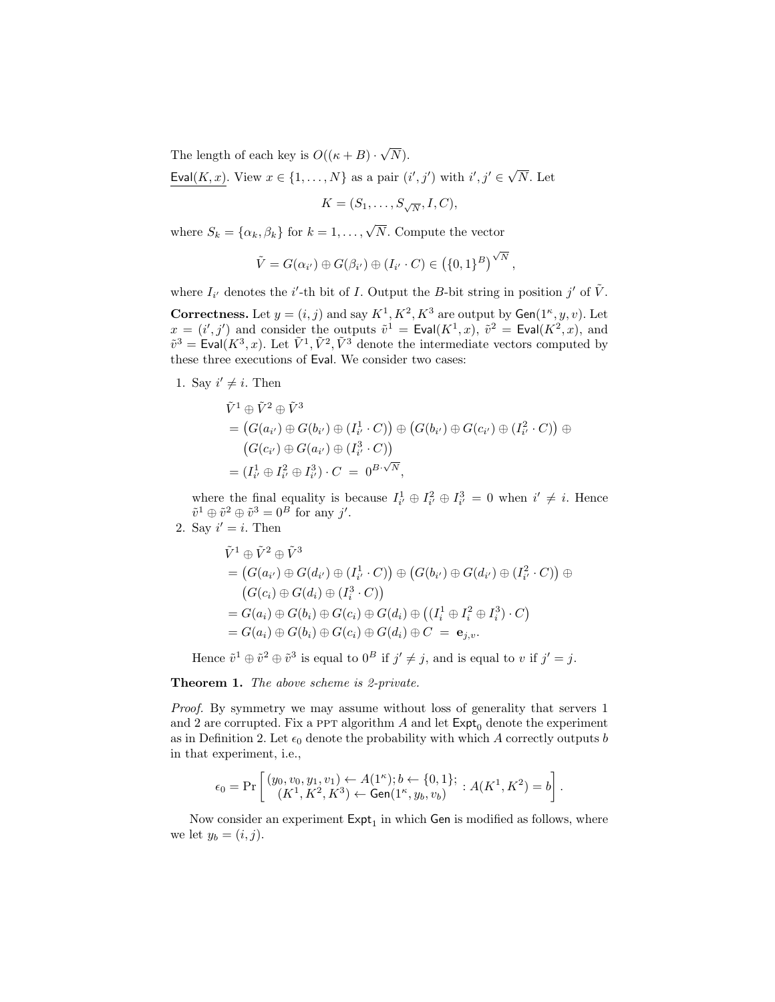The length of each key is  $O((\kappa + B) \cdot$ √  $N).$ 

Eval $(K, x)$ . View  $x \in \{1, ..., N\}$  as a pair  $(i', j')$  with  $i', j' \in \sqrt{N}$ N. Let

$$
K = (S_1, \ldots, S_{\sqrt{N}}, I, C),
$$

where  $S_k = {\alpha_k, \beta_k}$  for  $k = 1, ..., \sqrt{N}$ . Compute the vector

$$
\tilde{V} = G(\alpha_{i'}) \oplus G(\beta_{i'}) \oplus (I_{i'} \cdot C) \in (\{0,1\}^B)^{\sqrt{N}},
$$

where  $I_{i'}$  denotes the *i*'-th bit of *I*. Output the *B*-bit string in position *j'* of  $\tilde{V}$ .

**Correctness.** Let  $y = (i, j)$  and say  $K^1, K^2, K^3$  are output by  $Gen(1^{\kappa}, y, v)$ . Let  $x = (i', j')$  and consider the outputs  $\tilde{v}^1 = \text{Eval}(K^1, x)$ ,  $\tilde{v}^2 = \text{Eval}(K^2, x)$ , and  $\tilde{v}^3 = \text{Eval}(K^3, x)$ . Let  $\tilde{V}^1, \tilde{V}^2, \tilde{V}^3$  denote the intermediate vectors computed by these three executions of Eval. We consider two cases:

1. Say  $i' \neq i$ . Then

$$
\tilde{V}^1 \oplus \tilde{V}^2 \oplus \tilde{V}^3
$$
\n
$$
= (G(a_{i'}) \oplus G(b_{i'}) \oplus (I_{i'}^1 \cdot C)) \oplus (G(b_{i'}) \oplus G(c_{i'}) \oplus (I_{i'}^2 \cdot C)) \oplus
$$
\n
$$
(G(c_{i'}) \oplus G(a_{i'}) \oplus (I_{i'}^3 \cdot C))
$$
\n
$$
= (I_{i'}^1 \oplus I_{i'}^2 \oplus I_{i'}^3) \cdot C = 0^{B \cdot \sqrt{N}},
$$

where the final equality is because  $I_{i'}^1 \oplus I_{i'}^2 \oplus I_{i'}^3 = 0$  when  $i' \neq i$ . Hence  $\tilde{v}^1 \oplus \tilde{v}^2 \oplus \tilde{v}^3 = 0^B$  for any j'.

2. Say  $i' = i$ . Then

$$
\tilde{V}^1 \oplus \tilde{V}^2 \oplus \tilde{V}^3
$$
\n
$$
= (G(a_{i'}) \oplus G(d_{i'}) \oplus (I_{i'}^1 \cdot C)) \oplus (G(b_{i'}) \oplus G(d_{i'}) \oplus (I_{i'}^2 \cdot C)) \oplus
$$
\n
$$
(G(c_i) \oplus G(d_i) \oplus (I_i^3 \cdot C))
$$
\n
$$
= G(a_i) \oplus G(b_i) \oplus G(c_i) \oplus G(d_i) \oplus ((I_i^1 \oplus I_i^2 \oplus I_i^3) \cdot C)
$$
\n
$$
= G(a_i) \oplus G(b_i) \oplus G(c_i) \oplus G(d_i) \oplus C = \mathbf{e}_{j,v}.
$$

Hence  $\tilde{v}^1 \oplus \tilde{v}^2 \oplus \tilde{v}^3$  is equal to  $0^B$  if  $j' \neq j$ , and is equal to v if  $j' = j$ .

Theorem 1. The above scheme is 2-private.

Proof. By symmetry we may assume without loss of generality that servers 1 and 2 are corrupted. Fix a PPT algorithm A and let  $\mathsf{Expt}_0$  denote the experiment as in Definition 2. Let  $\epsilon_0$  denote the probability with which A correctly outputs b in that experiment, i.e.,

$$
\epsilon_0 = \Pr\left[\frac{(y_0, v_0, y_1, v_1) \leftarrow A(1^{\kappa}); b \leftarrow \{0, 1\};}{(K^1, K^2, K^3) \leftarrow \text{Gen}(1^{\kappa}, y_b, v_b)} : A(K^1, K^2) = b\right].
$$

Now consider an experiment  $\textsf{Expt}_1$  in which Gen is modified as follows, where we let  $y_b = (i, j)$ .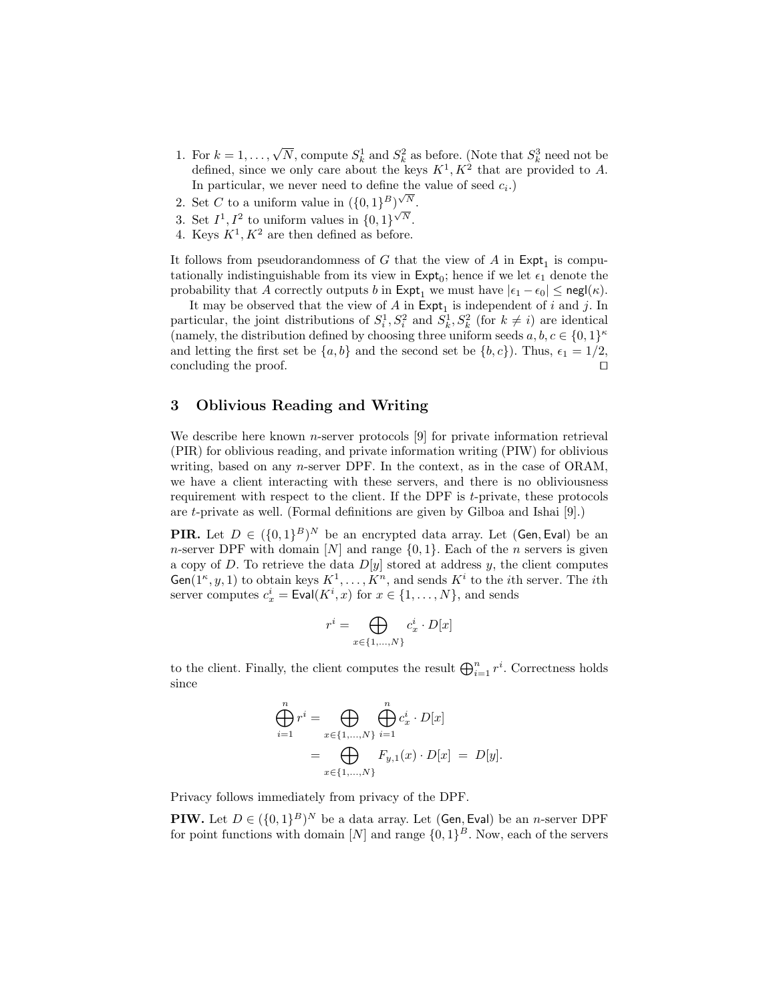- 1. For  $k = 1, ..., \sqrt{N}$ , compute  $S_k^1$  and  $S_k^2$  as before. (Note that  $S_k^3$  need not be defined, since we only care about the keys  $K^1, K^2$  that are provided to A. In particular, we never need to define the value of seed  $c_i$ .)
- 2. Set C to a uniform value in  $({0,1}^B)^{\sqrt{N}}$ .
- 3. Set  $I^1, I^2$  to uniform values in  $\{0,1\}^{\sqrt{N}}$ .
- 4. Keys  $K^1, K^2$  are then defined as before.

It follows from pseudorandomness of G that the view of A in  $\textsf{Expt}_1$  is computationally indistinguishable from its view in  $\textsf{Expt}_0$ ; hence if we let  $\epsilon_1$  denote the probability that A correctly outputs b in  $\textsf{Expt}_1$  we must have  $|\epsilon_1 - \epsilon_0| \leq \textsf{negl}(\kappa)$ .

It may be observed that the view of  $A$  in  $\text{Expt}_1$  is independent of i and j. In particular, the joint distributions of  $S_i^1, S_i^2$  and  $S_k^1, S_k^2$  (for  $k \neq i$ ) are identical (namely, the distribution defined by choosing three uniform seeds  $a, b, c \in \{0, 1\}^{\kappa}$ and letting the first set be  $\{a, b\}$  and the second set be  $\{b, c\}$ . Thus,  $\epsilon_1 = 1/2$ , concluding the proof.  $\Box$ 

### 3 Oblivious Reading and Writing

We describe here known *n*-server protocols  $[9]$  for private information retrieval (PIR) for oblivious reading, and private information writing (PIW) for oblivious writing, based on any *n*-server DPF. In the context, as in the case of ORAM, we have a client interacting with these servers, and there is no obliviousness requirement with respect to the client. If the DPF is t-private, these protocols are t-private as well. (Formal definitions are given by Gilboa and Ishai [9].)

**PIR.** Let  $D \in (\{0,1\}^B)^N$  be an encrypted data array. Let (Gen, Eval) be an n-server DPF with domain  $[N]$  and range  $\{0, 1\}$ . Each of the n servers is given a copy of D. To retrieve the data  $D[y]$  stored at address y, the client computes  $Gen(1^{\kappa}, y, 1)$  to obtain keys  $K^1, \ldots, K^n$ , and sends  $K^i$  to the *i*th server. The *i*th server computes  $c_x^i = \text{Eval}(K^i, x)$  for  $x \in \{1, ..., N\}$ , and sends

$$
r^i = \bigoplus_{x \in \{1, ..., N\}} c_x^i \cdot D[x]
$$

to the client. Finally, the client computes the result  $\bigoplus_{i=1}^{n} r^i$ . Correctness holds since

$$
\bigoplus_{i=1}^{n} r^{i} = \bigoplus_{x \in \{1, ..., N\}} \bigoplus_{i=1}^{n} c_{x}^{i} \cdot D[x]
$$
  
= 
$$
\bigoplus_{x \in \{1, ..., N\}} F_{y,1}(x) \cdot D[x] = D[y].
$$

Privacy follows immediately from privacy of the DPF.

**PIW.** Let  $D \in (\{0,1\}^B)^N$  be a data array. Let (Gen, Eval) be an *n*-server DPF for point functions with domain  $[N]$  and range  $\{0,1\}^B$ . Now, each of the servers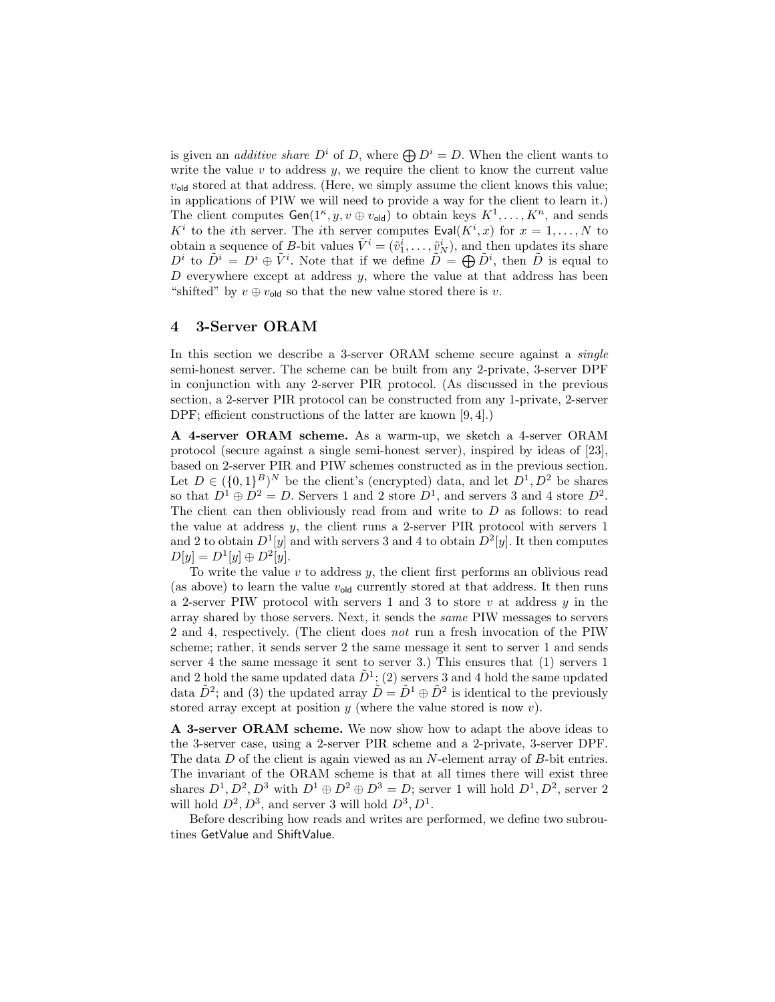is given an *additive share*  $D^i$  of D, where  $\bigoplus D^i = D$ . When the client wants to write the value  $v$  to address  $y$ , we require the client to know the current value  $v_{\text{old}}$  stored at that address. (Here, we simply assume the client knows this value; in applications of PIW we will need to provide a way for the client to learn it.) The client computes  $Gen(1^{\kappa}, y, v \oplus v_{old})$  to obtain keys  $K^1, \ldots, K^n$ , and sends  $K^i$  to the *i*th server. The *i*th server computes  $\textsf{Eval}(K^i, x)$  for  $x = 1, ..., N$  to obtain a sequence of B-bit values  $\tilde{V}^i = (\tilde{v}_1^i, \dots, \tilde{v}_N^i)$ , and then updates its share  $D^i$  to  $\tilde{D}^i = D^i \oplus \tilde{V}^i$ . Note that if we define  $\tilde{D} = \bigoplus \tilde{D}^i$ , then  $\tilde{D}$  is equal to D everywhere except at address  $y$ , where the value at that address has been "shifted" by  $v \oplus v_{\text{old}}$  so that the new value stored there is  $v$ .

### 4 3-Server ORAM

In this section we describe a 3-server ORAM scheme secure against a *single* semi-honest server. The scheme can be built from any 2-private, 3-server DPF in conjunction with any 2-server PIR protocol. (As discussed in the previous section, a 2-server PIR protocol can be constructed from any 1-private, 2-server DPF; efficient constructions of the latter are known [9, 4].)

A 4-server ORAM scheme. As a warm-up, we sketch a 4-server ORAM protocol (secure against a single semi-honest server), inspired by ideas of [23], based on 2-server PIR and PIW schemes constructed as in the previous section. Let  $D \in (\{0,1\}^B)^N$  be the client's (encrypted) data, and let  $D^1, D^2$  be shares so that  $D^1 \oplus D^2 = D$ . Servers 1 and 2 store  $D^1$ , and servers 3 and 4 store  $D^2$ . The client can then obliviously read from and write to  $D$  as follows: to read the value at address y, the client runs a 2-server PIR protocol with servers 1 and 2 to obtain  $D^1[y]$  and with servers 3 and 4 to obtain  $D^2[y]$ . It then computes  $D[y] = D^{1}[y] \oplus D^{2}[y].$ 

To write the value  $v$  to address  $y$ , the client first performs an oblivious read (as above) to learn the value  $v_{old}$  currently stored at that address. It then runs a 2-server PIW protocol with servers 1 and 3 to store  $v$  at address  $y$  in the array shared by those servers. Next, it sends the same PIW messages to servers 2 and 4, respectively. (The client does not run a fresh invocation of the PIW scheme; rather, it sends server 2 the same message it sent to server 1 and sends server 4 the same message it sent to server 3.) This ensures that (1) servers 1 and 2 hold the same updated data  $\tilde{D}^1$ ; (2) servers 3 and 4 hold the same updated data  $\tilde{D}^2$ ; and (3) the updated array  $\tilde{D} = \tilde{D}^1 \oplus \tilde{D}^2$  is identical to the previously stored array except at position  $y$  (where the value stored is now  $v$ ).

A 3-server ORAM scheme. We now show how to adapt the above ideas to the 3-server case, using a 2-server PIR scheme and a 2-private, 3-server DPF. The data D of the client is again viewed as an N-element array of B-bit entries. The invariant of the ORAM scheme is that at all times there will exist three shares  $D^1, D^2, D^3$  with  $D^1 \oplus D^2 \oplus D^3 = D$ ; server 1 will hold  $D^1, D^2$ , server 2 will hold  $D^2, D^3$ , and server 3 will hold  $D^3, D^1$ .

Before describing how reads and writes are performed, we define two subroutines GetValue and ShiftValue.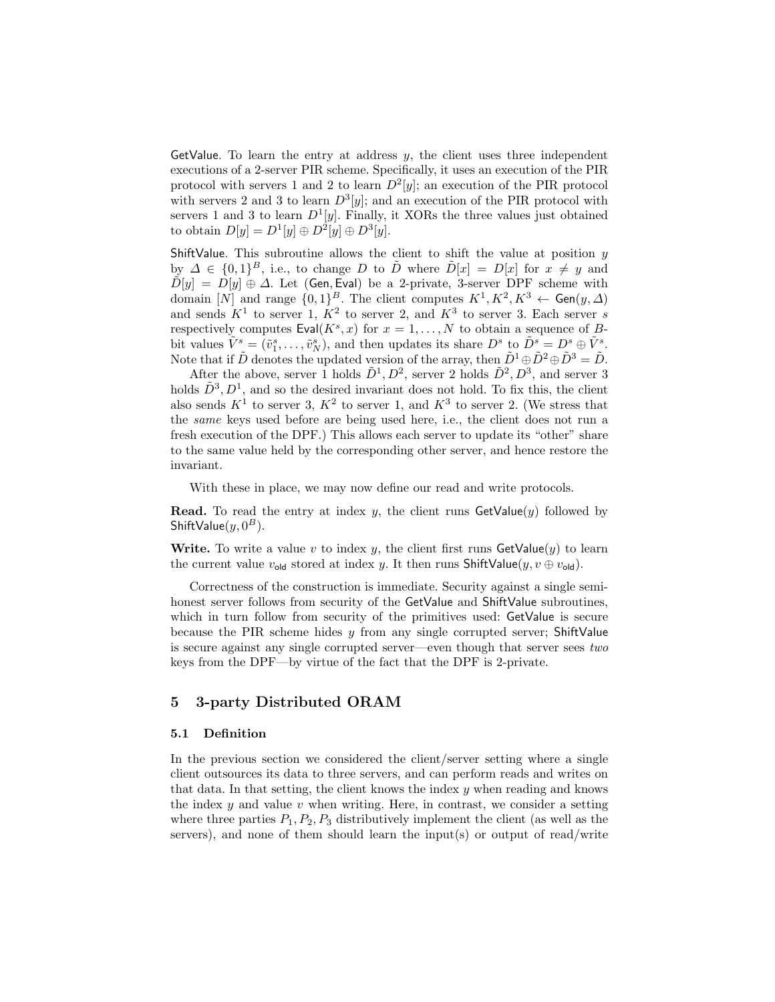GetValue. To learn the entry at address  $y$ , the client uses three independent executions of a 2-server PIR scheme. Specifically, it uses an execution of the PIR protocol with servers 1 and 2 to learn  $D^2[y]$ ; an execution of the PIR protocol with servers 2 and 3 to learn  $D^3[y]$ ; and an execution of the PIR protocol with servers 1 and 3 to learn  $D^1[y]$ . Finally, it XORs the three values just obtained to obtain  $D[y] = D^1[y] \oplus D^2[y] \oplus D^3[y]$ .

ShiftValue. This subroutine allows the client to shift the value at position  $y$ by  $\Delta \in \{0,1\}^B$ , i.e., to change D to  $\tilde{D}$  where  $\tilde{D}[x] = D[x]$  for  $x \neq y$  and  $\tilde{D}[y] = D[y] \oplus \Delta$ . Let (Gen, Eval) be a 2-private, 3-server DPF scheme with domain [N] and range  $\{0,1\}^B$ . The client computes  $K^1, K^2, K^3 \leftarrow$  Gen $(y, \Delta)$ and sends  $K^1$  to server 1,  $K^2$  to server 2, and  $K^3$  to server 3. Each server s respectively computes  $Eval(K^s, x)$  for  $x = 1, ..., N$  to obtain a sequence of Bbit values  $\tilde{V}^s = (\tilde{v}^s_1, \ldots, \tilde{v}^s_N)$ , and then updates its share  $D^s$  to  $\tilde{D}^s = D^s \oplus \tilde{V}^s$ . Note that if  $\tilde{D}$  denotes the updated version of the array, then  $\tilde{D}^1 \oplus \tilde{D}^2 \oplus \tilde{D}^3 = \tilde{D}$ .

After the above, server 1 holds  $\tilde{D}^1, D^2$ , server 2 holds  $\tilde{D}^2, D^3$ , and server 3 holds  $\tilde{D}^3, D^1$ , and so the desired invariant does not hold. To fix this, the client also sends  $K^1$  to server 3,  $K^2$  to server 1, and  $K^3$  to server 2. (We stress that the same keys used before are being used here, i.e., the client does not run a fresh execution of the DPF.) This allows each server to update its "other" share to the same value held by the corresponding other server, and hence restore the invariant.

With these in place, we may now define our read and write protocols.

**Read.** To read the entry at index y, the client runs  $\text{GetValue}(y)$  followed by ShiftValue $(y, 0^B)$ .

Write. To write a value v to index y, the client first runs  $\mathsf{GetValue}(y)$  to learn the current value  $v_{old}$  stored at index y. It then runs ShiftValue(y,  $v \oplus v_{old}$ ).

Correctness of the construction is immediate. Security against a single semihonest server follows from security of the GetValue and ShiftValue subroutines, which in turn follow from security of the primitives used: GetValue is secure because the PIR scheme hides  $y$  from any single corrupted server; ShiftValue is secure against any single corrupted server—even though that server sees two keys from the DPF—by virtue of the fact that the DPF is 2-private.

## 5 3-party Distributed ORAM

#### 5.1 Definition

In the previous section we considered the client/server setting where a single client outsources its data to three servers, and can perform reads and writes on that data. In that setting, the client knows the index  $y$  when reading and knows the index  $y$  and value  $v$  when writing. Here, in contrast, we consider a setting where three parties  $P_1, P_2, P_3$  distributively implement the client (as well as the servers), and none of them should learn the input(s) or output of read/write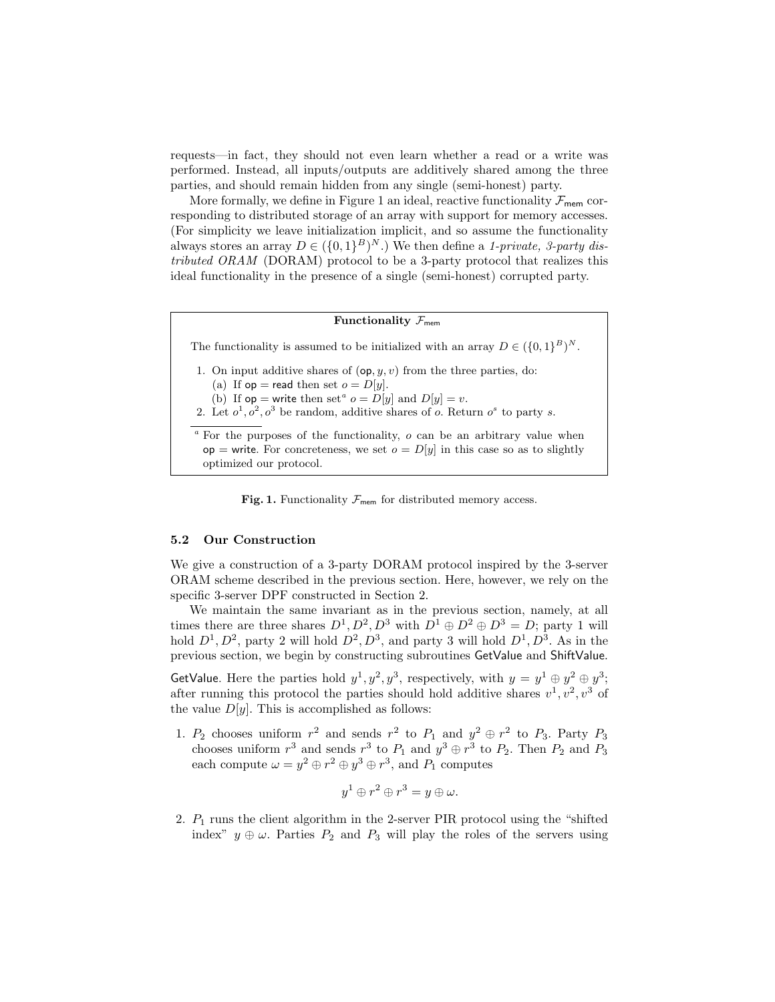requests—in fact, they should not even learn whether a read or a write was performed. Instead, all inputs/outputs are additively shared among the three parties, and should remain hidden from any single (semi-honest) party.

More formally, we define in Figure 1 an ideal, reactive functionality  $\mathcal{F}_{\text{mem}}$  corresponding to distributed storage of an array with support for memory accesses. (For simplicity we leave initialization implicit, and so assume the functionality always stores an array  $D \in (\{0,1\}^B)^N$ .) We then define a 1-private, 3-party distributed ORAM (DORAM) protocol to be a 3-party protocol that realizes this ideal functionality in the presence of a single (semi-honest) corrupted party.

### Functionality  $\mathcal{F}_{\text{mem}}$

The functionality is assumed to be initialized with an array  $D \in (\{0,1\}^B)^N$ .

1. On input additive shares of  $(\mathsf{op}, y, v)$  from the three parties, do:

(a) If  $op =$  read then set  $o = D[y]$ .

(b) If  $op =$  write then set<sup>*a*</sup>  $o = D[y]$  and  $D[y] = v$ .

2. Let  $o^1, o^2, o^3$  be random, additive shares of o. Return  $o^s$  to party s.

 $a$  For the purposes of the functionality,  $o$  can be an arbitrary value when  $op =$  write. For concreteness, we set  $o = D[y]$  in this case so as to slightly optimized our protocol.

Fig. 1. Functionality  $\mathcal{F}_{\text{mem}}$  for distributed memory access.

#### 5.2 Our Construction

We give a construction of a 3-party DORAM protocol inspired by the 3-server ORAM scheme described in the previous section. Here, however, we rely on the specific 3-server DPF constructed in Section 2.

We maintain the same invariant as in the previous section, namely, at all times there are three shares  $D^1, D^2, D^3$  with  $D^1 \oplus D^2 \oplus D^3 = D$ ; party 1 will hold  $D^1, D^2$ , party 2 will hold  $D^2, D^3$ , and party 3 will hold  $D^1, D^3$ . As in the previous section, we begin by constructing subroutines GetValue and ShiftValue.

GetValue. Here the parties hold  $y^1, y^2, y^3$ , respectively, with  $y = y^1 \oplus y^2 \oplus y^3$ ; after running this protocol the parties should hold additive shares  $v^1, v^2, v^3$  of the value  $D[y]$ . This is accomplished as follows:

1.  $P_2$  chooses uniform  $r^2$  and sends  $r^2$  to  $P_1$  and  $y^2 \oplus r^2$  to  $P_3$ . Party  $P_3$ chooses uniform  $r^3$  and sends  $r^3$  to  $P_1$  and  $y^3 \oplus r^3$  to  $P_2$ . Then  $P_2$  and  $P_3$ each compute  $\omega = y^2 \oplus r^2 \oplus y^3 \oplus r^3$ , and  $P_1$  computes

$$
y^1 \oplus r^2 \oplus r^3 = y \oplus \omega.
$$

2.  $P_1$  runs the client algorithm in the 2-server PIR protocol using the "shifted" index"  $y \oplus \omega$ . Parties  $P_2$  and  $P_3$  will play the roles of the servers using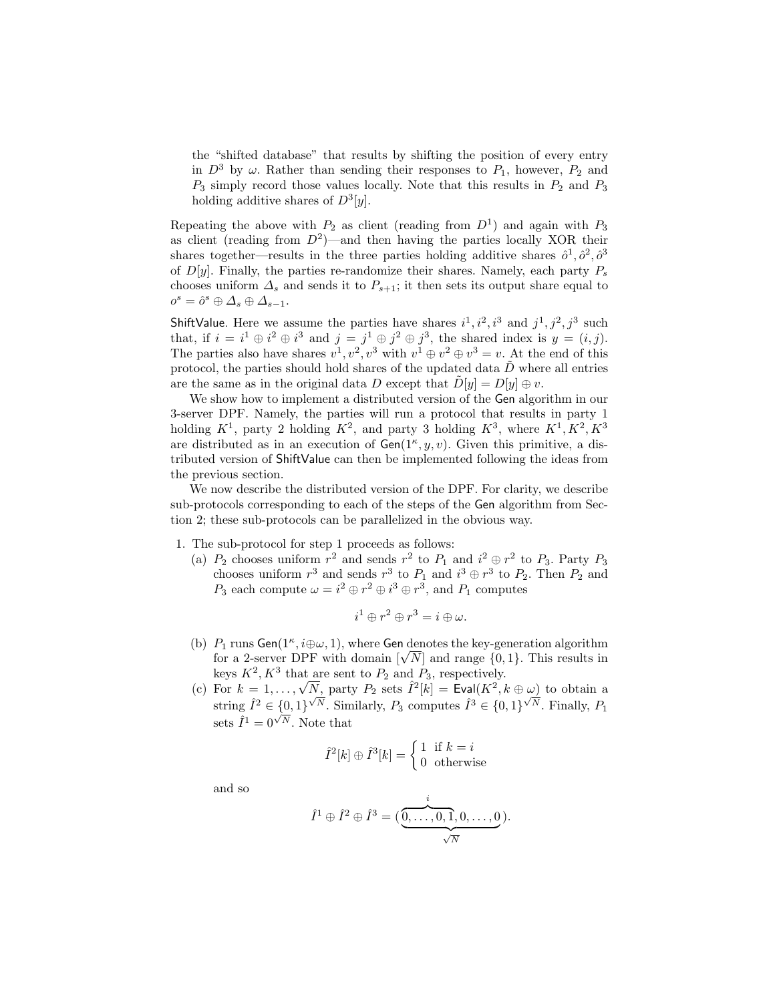the "shifted database" that results by shifting the position of every entry in  $D^3$  by  $\omega$ . Rather than sending their responses to  $P_1$ , however,  $P_2$  and  $P_3$  simply record those values locally. Note that this results in  $P_2$  and  $P_3$ holding additive shares of  $D^3[y]$ .

Repeating the above with  $P_2$  as client (reading from  $D<sup>1</sup>$ ) and again with  $P_3$ as client (reading from  $D^2$ )—and then having the parties locally XOR their shares together—results in the three parties holding additive shares  $\hat{\rho}^1, \hat{\rho}^2, \hat{\rho}^3$ of  $D[y]$ . Finally, the parties re-randomize their shares. Namely, each party  $P_s$ chooses uniform  $\Delta_s$  and sends it to  $P_{s+1}$ ; it then sets its output share equal to  $o^s = \hat{o}^s \oplus \Delta_s \oplus \Delta_{s-1}.$ 

ShiftValue. Here we assume the parties have shares  $i^1, i^2, i^3$  and  $j^1, j^2, j^3$  such that, if  $i = i^1 \oplus i^2 \oplus i^3$  and  $j = j^1 \oplus j^2 \oplus j^3$ , the shared index is  $y = (i, j)$ . The parties also have shares  $v^1, v^2, v^3$  with  $v^1 \oplus v^2 \oplus v^3 = v$ . At the end of this protocol, the parties should hold shares of the updated data  $\tilde{D}$  where all entries are the same as in the original data D except that  $\tilde{D}[y] = D[y] \oplus v$ .

We show how to implement a distributed version of the Gen algorithm in our 3-server DPF. Namely, the parties will run a protocol that results in party 1 holding  $K^1$ , party 2 holding  $K^2$ , and party 3 holding  $K^3$ , where  $K^1, K^2, K^3$ are distributed as in an execution of  $Gen(1^{\kappa}, y, v)$ . Given this primitive, a distributed version of ShiftValue can then be implemented following the ideas from the previous section.

We now describe the distributed version of the DPF. For clarity, we describe sub-protocols corresponding to each of the steps of the Gen algorithm from Section 2; these sub-protocols can be parallelized in the obvious way.

1. The sub-protocol for step 1 proceeds as follows:

(a)  $P_2$  chooses uniform  $r^2$  and sends  $r^2$  to  $P_1$  and  $i^2 \oplus r^2$  to  $P_3$ . Party  $P_3$ chooses uniform  $r^3$  and sends  $r^3$  to  $P_1$  and  $i^3 \oplus r^3$  to  $P_2$ . Then  $P_2$  and  $P_3$  each compute  $\omega = i^2 \oplus r^2 \oplus i^3 \oplus r^3$ , and  $P_1$  computes

$$
i^1\oplus r^2\oplus r^3=i\oplus\omega.
$$

- (b)  $P_1$  runs Gen( $1^{\kappa}, i \oplus \omega, 1$ ), where Gen denotes the key-generation algorithm  $P_1$  runs Gen(1<sup>o</sup>,  $i \oplus \omega$ , 1), where Gen denotes the key-generation algorithm for a 2-server DPF with domain  $[\sqrt{N}]$  and range  $\{0,1\}$ . This results in keys  $K^2, K^3$  that are sent to  $P_2$  and  $P_3$ , respectively.
- keys  $K^2$ ,  $K^3$  that are sent to  $P_2$  and  $P_3$ , respectively.<br>
(c) For  $k = 1, ..., \sqrt{N}$ , party  $P_2$  sets  $\hat{I}^2[k] = \text{Eval}(K^2, k \oplus \omega)$  to obtain a string  $\hat{I}^2 \in \{0,1\}^{\sqrt{N}}$ . Similarly,  $P_3$  computes  $\hat{I}^3 \in \{0,1\}^{\sqrt{N}}$ . Finally,  $P_1$ sets  $\hat{I}^1 = 0^{\sqrt{N}}$ . Note that

$$
\hat{I}^{2}[k] \oplus \hat{I}^{3}[k] = \begin{cases} 1 & \text{if } k = i \\ 0 & \text{otherwise} \end{cases}
$$

and so

$$
\hat{I}^1 \oplus \hat{I}^2 \oplus \hat{I}^3 = (\underbrace{\overset{i}{\overbrace{0,\ldots,0,1,0,\ldots,0}}}_{\sqrt{N}}).
$$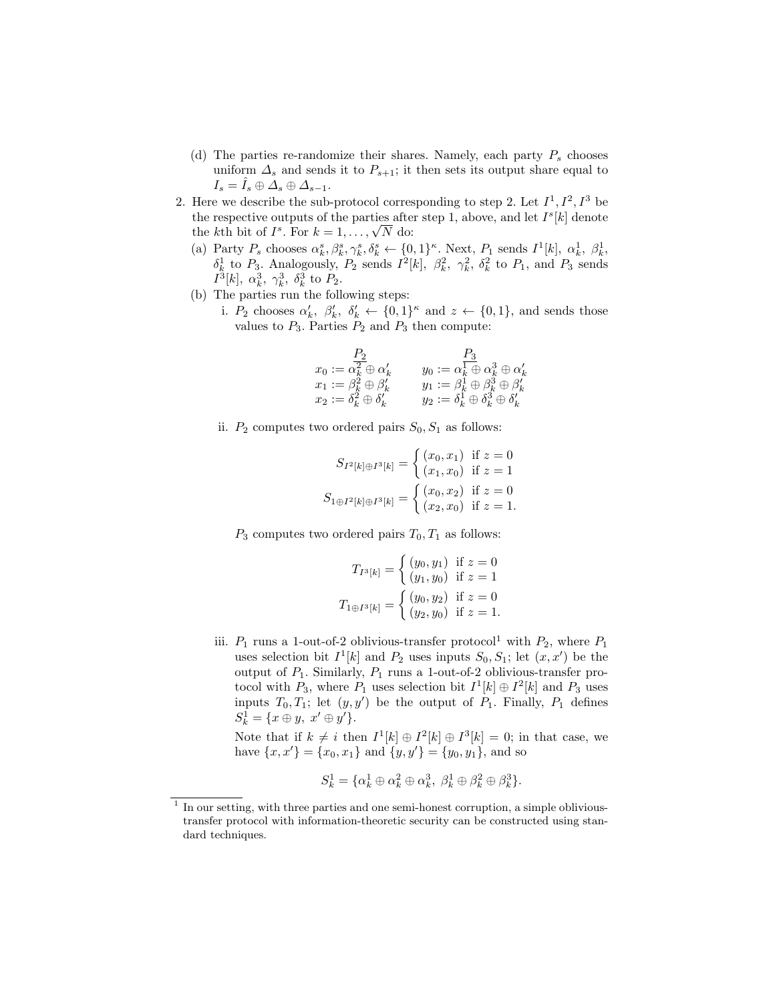- (d) The parties re-randomize their shares. Namely, each party  $P_s$  chooses uniform  $\Delta_s$  and sends it to  $P_{s+1}$ ; it then sets its output share equal to  $I_s = I_s \oplus \Delta_s \oplus \Delta_{s-1}.$
- 2. Here we describe the sub-protocol corresponding to step 2. Let  $I^1, I^2, I^3$  be the respective outputs of the parties after step 1, above, and let  $I<sup>s</sup>[k]$  denote the respective outputs of the parties after<br>the kth bit of  $I^s$ . For  $k = 1, ..., \sqrt{N}$  do:
	- (a) Party  $P_s$  chooses  $\alpha_k^s, \beta_k^s, \gamma_k^s, \delta_k^s \leftarrow \{0, 1\}^{\kappa}$ . Next,  $P_1$  sends  $I^1[k], \alpha_k^1, \beta_k^1$ ,  $\delta_k^1$  to  $P_3$ . Analogously,  $P_2$  sends  $I^2[k]$ ,  $\beta_k^2$ ,  $\gamma_k^2$ ,  $\delta_k^2$  to  $P_1$ , and  $P_3$  sends  $I^3[k]$ ,  $\alpha_k^3$ ,  $\gamma_k^3$ ,  $\delta_k^3$  to  $P_2$ .
	- (b) The parties run the following steps:
		- i.  $P_2$  chooses  $\alpha'_k$ ,  $\beta'_k$ ,  $\delta'_k \leftarrow \{0,1\}^{\kappa}$  and  $z \leftarrow \{0,1\}$ , and sends those values to  $P_3$ . Parties  $P_2$  and  $P_3$  then compute:

$$
\begin{array}{ll} P_2 & P_3 \\ x_0 := \overline{\alpha_k^2} \oplus \alpha_k' & y_0 := \overline{\alpha_k^1} \oplus \alpha_k^3 \oplus \alpha_k' \\ x_1 := \beta_k^2 \oplus \beta_k' & y_1 := \beta_k^1 \oplus \beta_k^3 \oplus \beta_k' \\ x_2 := \delta_k^2 \oplus \delta_k' & y_2 := \delta_k^1 \oplus \delta_k^3 \oplus \delta_k' \end{array}
$$

ii.  $P_2$  computes two ordered pairs  $S_0, S_1$  as follows:

$$
S_{I^2[k]\oplus I^3[k]} = \begin{cases} (x_0, x_1) & \text{if } z = 0\\ (x_1, x_0) & \text{if } z = 1 \end{cases}
$$

$$
S_{1\oplus I^2[k]\oplus I^3[k]} = \begin{cases} (x_0, x_2) & \text{if } z = 0\\ (x_2, x_0) & \text{if } z = 1. \end{cases}
$$

 $P_3$  computes two ordered pairs  $T_0, T_1$  as follows:

$$
T_{I^3[k]} = \begin{cases} (y_0, y_1) & \text{if } z = 0\\ (y_1, y_0) & \text{if } z = 1 \end{cases}
$$

$$
T_{1 \oplus I^3[k]} = \begin{cases} (y_0, y_2) & \text{if } z = 0\\ (y_2, y_0) & \text{if } z = 1. \end{cases}
$$

iii.  $P_1$  runs a 1-out-of-2 oblivious-transfer protocol<sup>1</sup> with  $P_2$ , where  $P_1$ uses selection bit  $I^1[k]$  and  $P_2$  uses inputs  $S_0, S_1$ ; let  $(x, x')$  be the output of  $P_1$ . Similarly,  $P_1$  runs a 1-out-of-2 oblivious-transfer protocol with  $P_3$ , where  $P_1$  uses selection bit  $I^1[k] \oplus I^2[k]$  and  $P_3$  uses inputs  $T_0, T_1$ ; let  $(y, y')$  be the output of  $P_1$ . Finally,  $P_1$  defines  $S_k^1 = \{x \oplus y, \ x' \oplus y'\}.$ 

Note that if  $k \neq i$  then  $I^1[k] \oplus I^2[k] \oplus I^3[k] = 0$ ; in that case, we have  $\{x, x'\} = \{x_0, x_1\}$  and  $\{y, y'\} = \{y_0, y_1\}$ , and so

$$
S_k^1 = \{ \alpha_k^1 \oplus \alpha_k^2 \oplus \alpha_k^3, \ \beta_k^1 \oplus \beta_k^2 \oplus \beta_k^3 \}.
$$

<sup>&</sup>lt;sup>1</sup> In our setting, with three parties and one semi-honest corruption, a simple oblivioustransfer protocol with information-theoretic security can be constructed using standard techniques.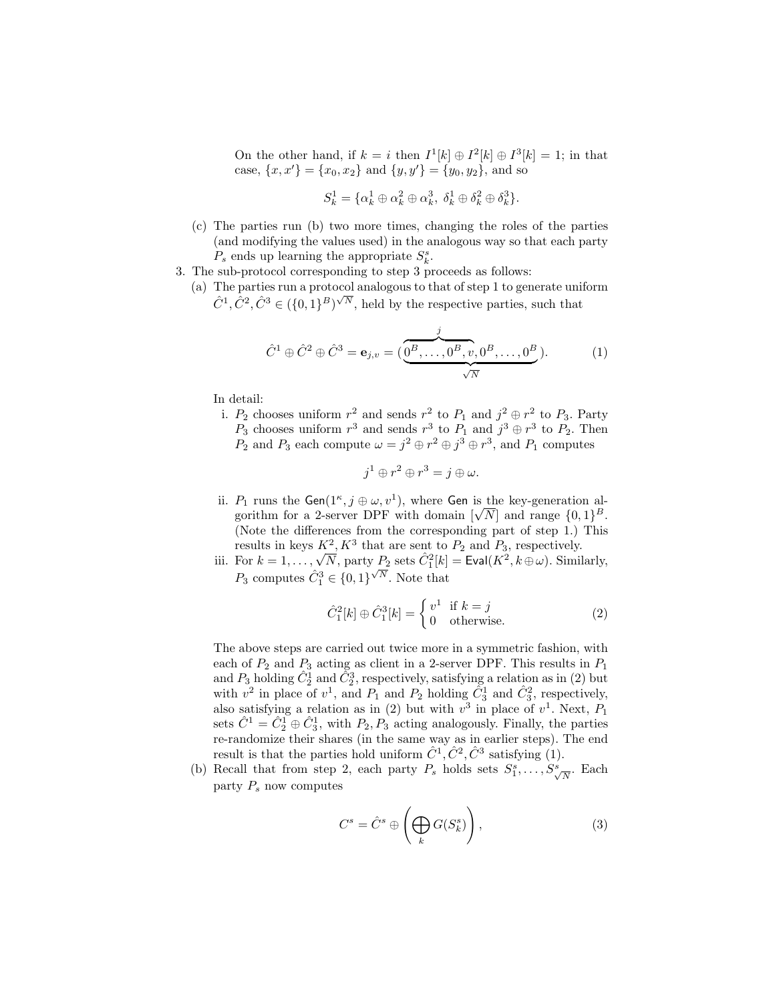On the other hand, if  $k = i$  then  $I^1[k] \oplus I^2[k] \oplus I^3[k] = 1$ ; in that case,  $\{x, x'\} = \{x_0, x_2\}$  and  $\{y, y'\} = \{y_0, y_2\}$ , and so

$$
S_k^1 = \{ \alpha_k^1 \oplus \alpha_k^2 \oplus \alpha_k^3, \ \delta_k^1 \oplus \delta_k^2 \oplus \delta_k^3 \}.
$$

- (c) The parties run (b) two more times, changing the roles of the parties (and modifying the values used) in the analogous way so that each party  $P_s$  ends up learning the appropriate  $S_k^s$ .
- 3. The sub-protocol corresponding to step 3 proceeds as follows:
	- (a) The parties run a protocol analogous to that of step 1 to generate uniform The parties run a protocol analogous to that of step 1 to generate unit  $\hat{C}^1$ ,  $\hat{C}^2$ ,  $\hat{C}^3 \in (\{0,1\}^B)^{\sqrt{N}}$ , held by the respective parties, such that

$$
\hat{C}^{1} \oplus \hat{C}^{2} \oplus \hat{C}^{3} = \mathbf{e}_{j,v} = (\underbrace{\overbrace{0^{B}, \dots, 0^{B}, v, 0^{B}, \dots, 0^{B}}^{j}}_{\sqrt{N}}). \tag{1}
$$

In detail:

i.  $P_2$  chooses uniform  $r^2$  and sends  $r^2$  to  $P_1$  and  $j^2 \oplus r^2$  to  $P_3$ . Party  $P_3$  chooses uniform  $r^3$  and sends  $r^3$  to  $P_1$  and  $j^3 \oplus r^3$  to  $P_2$ . Then  $P_2$  and  $P_3$  each compute  $\omega = j^2 \oplus r^2 \oplus j^3 \oplus r^3$ , and  $P_1$  computes

$$
j^1 \oplus r^2 \oplus r^3 = j \oplus \omega.
$$

- ii.  $P_1$  runs the Gen( $1^{\kappa}, j \oplus \omega, v^1$ ), where Gen is the key-generation al- $P_1$  runs the Gen( $1^{\circ}, j \oplus \omega, v^{\circ}$ ), where Gen is the key-generation algorithm for a 2-server DPF with domain  $[\sqrt{N}]$  and range  $\{0, 1\}^B$ . (Note the differences from the corresponding part of step 1.) This results in keys  $K^2, K^3$  that are sent to  $P_2$  and  $P_3$ , respectively.
- iii. For  $k = 1, ..., \sqrt{N}$ , party  $P_2$  sets  $\hat{C}_1^2[k] = \text{Eval}(K^2, k \oplus \omega)$ . Similarly,  $P_3$  computes  $\hat{C}_1^3 \in \{0,1\}^{\sqrt{N}}$ . Note that

$$
\hat{C}_1^2[k] \oplus \hat{C}_1^3[k] = \begin{cases} v^1 & \text{if } k = j \\ 0 & \text{otherwise.} \end{cases}
$$
 (2)

The above steps are carried out twice more in a symmetric fashion, with each of  $P_2$  and  $P_3$  acting as client in a 2-server DPF. This results in  $P_1$ and  $P_3$  holding  $\hat{C}_2^1$  and  $\tilde{C}_2^3$ , respectively, satisfying a relation as in (2) but with  $v^2$  in place of  $v^1$ , and  $P_1$  and  $P_2$  holding  $\tilde{C}_3^1$  and  $\tilde{C}_3^2$ , respectively, also satisfying a relation as in (2) but with  $v^3$  in place of  $v^1$ . Next,  $P_1$ sets  $\hat{C}^1 = \hat{C}_2^1 \oplus \hat{C}_3^1$ , with  $P_2, P_3$  acting analogously. Finally, the parties re-randomize their shares (in the same way as in earlier steps). The end result is that the parties hold uniform  $\hat{C}^1$ ,  $\hat{C}^2$ ,  $\hat{C}^3$  satisfying (1).

(b) Recall that from step 2, each party  $P_s$  holds sets  $S_1^s, \ldots, S_{\sqrt{N}}^s$ . Each party  $P_s$  now computes

$$
C^s = \hat{C}^s \oplus \left(\bigoplus_k G(S_k^s)\right),\tag{3}
$$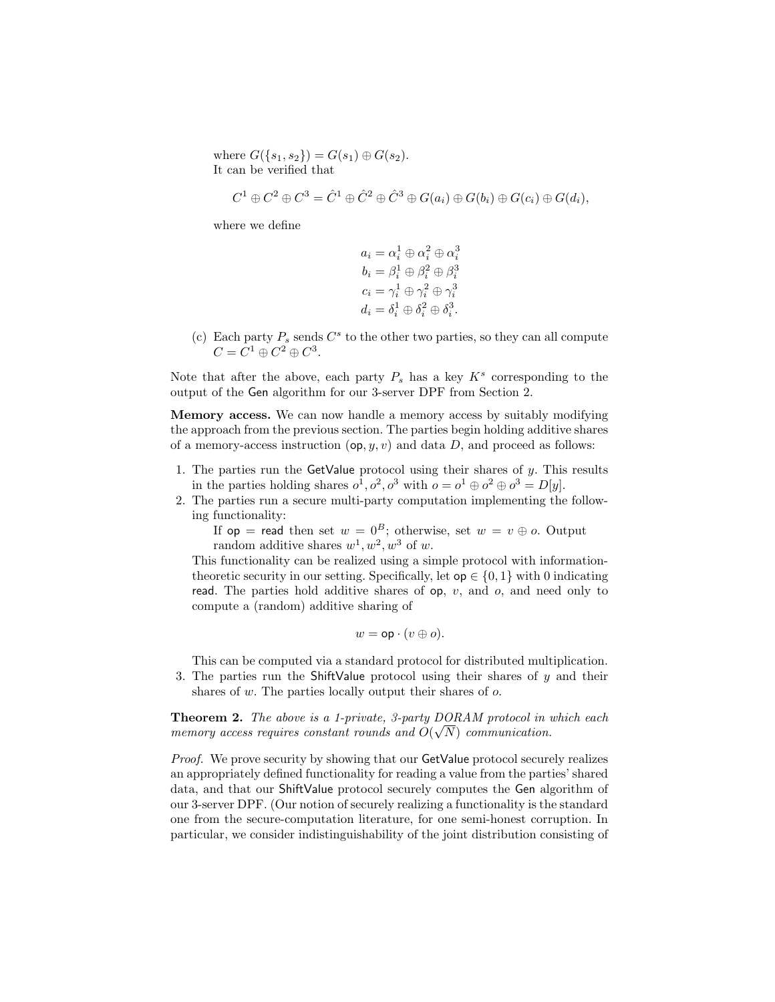where  $G({s_1, s_2}) = G(s_1) \oplus G(s_2)$ . It can be verified that

$$
C^1 \oplus C^2 \oplus C^3 = \hat{C}^1 \oplus \hat{C}^2 \oplus \hat{C}^3 \oplus G(a_i) \oplus G(b_i) \oplus G(c_i) \oplus G(d_i),
$$

where we define

$$
\begin{array}{l} a_i=\alpha_i^1\oplus\alpha_i^2\oplus\alpha_i^3\\ b_i=\beta_i^1\oplus\beta_i^2\oplus\beta_i^3\\ c_i=\gamma_i^1\oplus\gamma_i^2\oplus\gamma_i^3\\ d_i=\delta_i^1\oplus\delta_i^2\oplus\delta_i^3. \end{array}
$$

(c) Each party  $P_s$  sends  $C^s$  to the other two parties, so they can all compute  $C = C^1 \oplus C^2 \oplus C^3.$ 

Note that after the above, each party  $P_s$  has a key  $K^s$  corresponding to the output of the Gen algorithm for our 3-server DPF from Section 2.

Memory access. We can now handle a memory access by suitably modifying the approach from the previous section. The parties begin holding additive shares of a memory-access instruction  $(\mathsf{op}, y, v)$  and data D, and proceed as follows:

- 1. The parties run the GetValue protocol using their shares of  $y$ . This results in the parties holding shares  $o^1, o^2, o^3$  with  $o = o^1 \oplus o^2 \oplus o^3 = D[y]$ .
- 2. The parties run a secure multi-party computation implementing the following functionality:

If  $op = \text{read then set } w = 0^B$ ; otherwise, set  $w = v \oplus o$ . Output random additive shares  $w^1, w^2, w^3$  of w.

This functionality can be realized using a simple protocol with informationtheoretic security in our setting. Specifically, let  $op \in \{0, 1\}$  with 0 indicating read. The parties hold additive shares of  $op$ ,  $v$ , and  $o$ , and need only to compute a (random) additive sharing of

$$
w = \mathsf{op} \cdot (v \oplus o).
$$

This can be computed via a standard protocol for distributed multiplication.

3. The parties run the ShiftValue protocol using their shares of  $y$  and their shares of w. The parties locally output their shares of  $\alpha$ .

**Theorem 2.** The above is a 1-private, 3-party  $DORAM$  protocol in which each memory access requires constant rounds and  $O(\sqrt{N})$  communication.

Proof. We prove security by showing that our GetValue protocol securely realizes an appropriately defined functionality for reading a value from the parties' shared data, and that our ShiftValue protocol securely computes the Gen algorithm of our 3-server DPF. (Our notion of securely realizing a functionality is the standard one from the secure-computation literature, for one semi-honest corruption. In particular, we consider indistinguishability of the joint distribution consisting of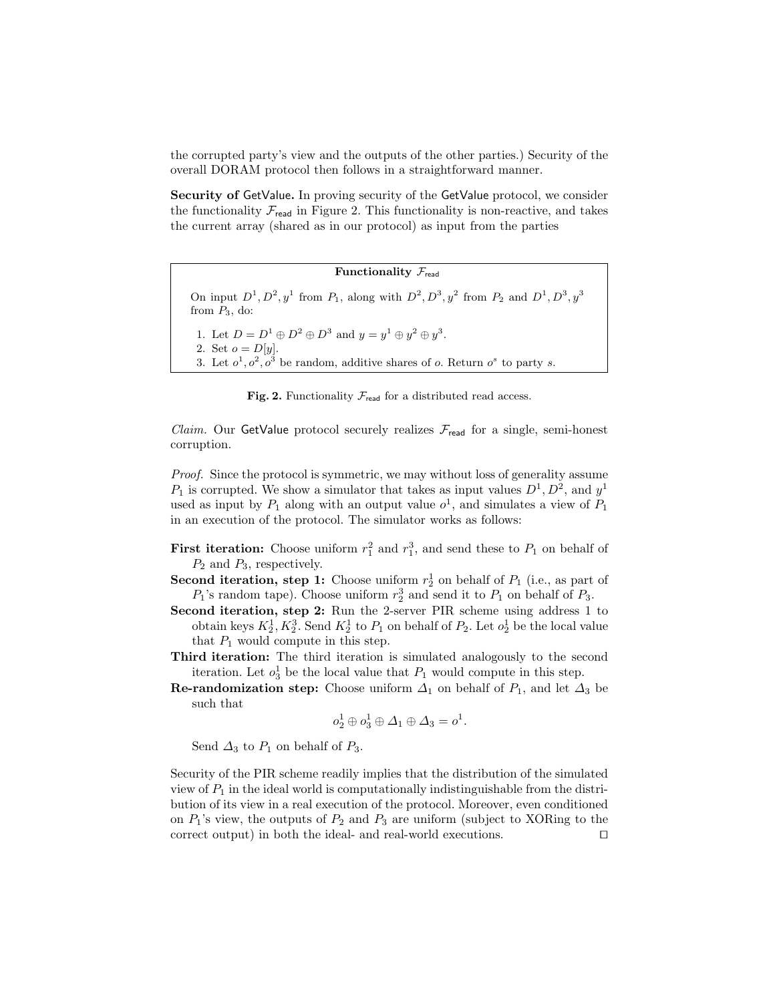the corrupted party's view and the outputs of the other parties.) Security of the overall DORAM protocol then follows in a straightforward manner.

Security of GetValue. In proving security of the GetValue protocol, we consider the functionality  $\mathcal{F}_{\text{read}}$  in Figure 2. This functionality is non-reactive, and takes the current array (shared as in our protocol) as input from the parties

| Functionality $\mathcal{F}_{\text{read}}$ |  |  |
|-------------------------------------------|--|--|
|-------------------------------------------|--|--|

On input  $D^1, D^2, y^1$  from  $P_1$ , along with  $D^2, D^3, y^2$  from  $P_2$  and  $D^1, D^3, y^3$ from  $P_3$ , do:

1. Let  $D = D^1 \oplus D^2 \oplus D^3$  and  $y = y^1 \oplus y^2 \oplus y^3$ .

2. Set  $o = D[y]$ .

3. Let  $o^1, o^2, o^3$  be random, additive shares of o. Return  $o^s$  to party s.

Fig. 2. Functionality  $\mathcal{F}_{\text{read}}$  for a distributed read access.

*Claim.* Our GetValue protocol securely realizes  $\mathcal{F}_{\text{read}}$  for a single, semi-honest corruption.

Proof. Since the protocol is symmetric, we may without loss of generality assume  $P_1$  is corrupted. We show a simulator that takes as input values  $D^1, D^2$ , and  $y^1$ used as input by  $P_1$  along with an output value  $o^1$ , and simulates a view of  $P_1$ in an execution of the protocol. The simulator works as follows:

- **First iteration:** Choose uniform  $r_1^2$  and  $r_1^3$ , and send these to  $P_1$  on behalf of  $P_2$  and  $P_3$ , respectively.
- **Second iteration, step 1:** Choose uniform  $r_2^1$  on behalf of  $P_1$  (i.e., as part of  $P_1$ 's random tape). Choose uniform  $r_2^3$  and send it to  $P_1$  on behalf of  $P_3$ .
- Second iteration, step 2: Run the 2-server PIR scheme using address 1 to obtain keys  $K_2^1, K_2^3$ . Send  $K_2^1$  to  $P_1$  on behalf of  $P_2$ . Let  $o_2^1$  be the local value that  $P_1$  would compute in this step.
- Third iteration: The third iteration is simulated analogously to the second iteration. Let  $o_3^1$  be the local value that  $P_1$  would compute in this step.
- **Re-randomization step:** Choose uniform  $\Delta_1$  on behalf of  $P_1$ , and let  $\Delta_3$  be such that

$$
o_2^1 \oplus o_3^1 \oplus \Delta_1 \oplus \Delta_3 = o^1.
$$

Send  $\Delta_3$  to  $P_1$  on behalf of  $P_3$ .

Security of the PIR scheme readily implies that the distribution of the simulated view of  $P_1$  in the ideal world is computationally indistinguishable from the distribution of its view in a real execution of the protocol. Moreover, even conditioned on  $P_1$ 's view, the outputs of  $P_2$  and  $P_3$  are uniform (subject to XORing to the correct output) in both the ideal- and real-world executions.  $\Box$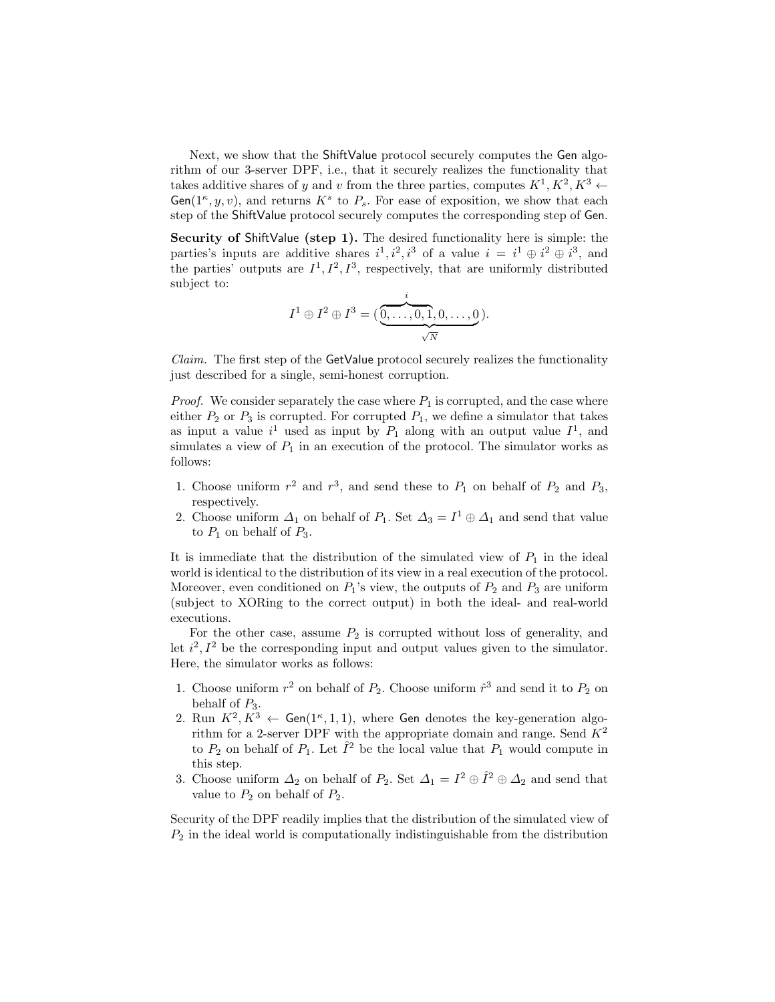Next, we show that the ShiftValue protocol securely computes the Gen algorithm of our 3-server DPF, i.e., that it securely realizes the functionality that takes additive shares of y and v from the three parties, computes  $K^1, K^2, K^3 \leftarrow$  $Gen(1^{\kappa}, y, v)$ , and returns  $K^s$  to  $P_s$ . For ease of exposition, we show that each step of the ShiftValue protocol securely computes the corresponding step of Gen.

Security of ShiftValue (step 1). The desired functionality here is simple: the parties's inputs are additive shares  $i^1, i^2, i^3$  of a value  $i = i^1 \oplus i^2 \oplus i^3$ , and the parties' outputs are  $I^1, I^2, I^3$ , respectively, that are uniformly distributed subject to:

$$
I^{1} \oplus I^{2} \oplus I^{3} = (\underbrace{\overset{i}{\underset{\smile}{0,\ldots,0,1,0,\ldots,0}}}).
$$

*Claim.* The first step of the  $GetValue$  protocol securely realizes the functionality just described for a single, semi-honest corruption.

*Proof.* We consider separately the case where  $P_1$  is corrupted, and the case where either  $P_2$  or  $P_3$  is corrupted. For corrupted  $P_1$ , we define a simulator that takes as input a value  $i^1$  used as input by  $P_1$  along with an output value  $I^1$ , and simulates a view of  $P_1$  in an execution of the protocol. The simulator works as follows:

- 1. Choose uniform  $r^2$  and  $r^3$ , and send these to  $P_1$  on behalf of  $P_2$  and  $P_3$ , respectively.
- 2. Choose uniform  $\Delta_1$  on behalf of  $P_1$ . Set  $\Delta_3 = I^1 \oplus \Delta_1$  and send that value to  $P_1$  on behalf of  $P_3$ .

It is immediate that the distribution of the simulated view of  $P_1$  in the ideal world is identical to the distribution of its view in a real execution of the protocol. Moreover, even conditioned on  $P_1$ 's view, the outputs of  $P_2$  and  $P_3$  are uniform (subject to XORing to the correct output) in both the ideal- and real-world executions.

For the other case, assume  $P_2$  is corrupted without loss of generality, and let  $i^2$ ,  $I^2$  be the corresponding input and output values given to the simulator. Here, the simulator works as follows:

- 1. Choose uniform  $r^2$  on behalf of  $P_2$ . Choose uniform  $\hat{r}^3$  and send it to  $P_2$  on behalf of  $P_3$ .
- 2. Run  $K^2, K^3 \leftarrow$  Gen(1<sup> $\kappa$ </sup>, 1, 1), where Gen denotes the key-generation algorithm for a 2-server DPF with the appropriate domain and range. Send  $K^2$ to  $P_2$  on behalf of  $P_1$ . Let  $\hat{I}^2$  be the local value that  $P_1$  would compute in this step.
- 3. Choose uniform  $\Delta_2$  on behalf of  $P_2$ . Set  $\Delta_1 = I^2 \oplus \hat{I}^2 \oplus \Delta_2$  and send that value to  $P_2$  on behalf of  $P_2$ .

Security of the DPF readily implies that the distribution of the simulated view of  $P<sub>2</sub>$  in the ideal world is computationally indistinguishable from the distribution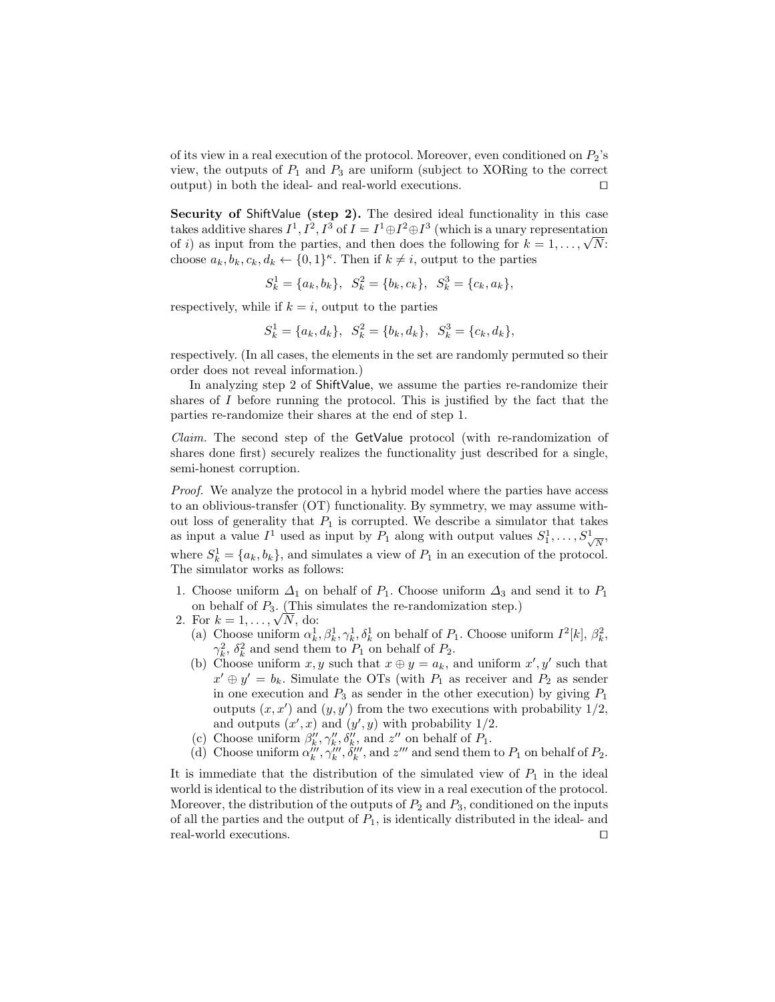of its view in a real execution of the protocol. Moreover, even conditioned on  $P_2$ 's view, the outputs of  $P_1$  and  $P_3$  are uniform (subject to XORing to the correct output) in both the ideal- and real-world executions.  $\Box$ 

Security of ShiftValue (step 2). The desired ideal functionality in this case takes additive shares  $I^1, I^2, I^3$  of  $I = I^1 \oplus I^2 \oplus I^3$  (which is a unary representation takes additive snares  $I^*, I^*, I^*$  of  $I = I^* \oplus I^* \oplus I^*$  (which is a unary representation of i) as input from the parties, and then does the following for  $k = 1, ..., \sqrt{N}$ : choose  $a_k, b_k, c_k, d_k \leftarrow \{0, 1\}^{\kappa}$ . Then if  $k \neq i$ , output to the parties

$$
S_k^1 = \{a_k, b_k\}, \quad S_k^2 = \{b_k, c_k\}, \quad S_k^3 = \{c_k, a_k\},
$$

respectively, while if  $k = i$ , output to the parties

$$
S_k^1 = \{a_k, d_k\}, \quad S_k^2 = \{b_k, d_k\}, \quad S_k^3 = \{c_k, d_k\},
$$

respectively. (In all cases, the elements in the set are randomly permuted so their order does not reveal information.)

In analyzing step 2 of ShiftValue, we assume the parties re-randomize their shares of  $I$  before running the protocol. This is justified by the fact that the parties re-randomize their shares at the end of step 1.

Claim. The second step of the GetValue protocol (with re-randomization of shares done first) securely realizes the functionality just described for a single, semi-honest corruption.

Proof. We analyze the protocol in a hybrid model where the parties have access to an oblivious-transfer (OT) functionality. By symmetry, we may assume without loss of generality that  $P_1$  is corrupted. We describe a simulator that takes as input a value  $I^1$  used as input by  $P_1$  along with output values  $S_1^1, \ldots, S_{\sqrt{\lambda}}^1$  $\overline{N}$ where  $S_k^1 = \{a_k, b_k\}$ , and simulates a view of  $P_1$  in an execution of the protocol. The simulator works as follows:

- 1. Choose uniform  $\Delta_1$  on behalf of  $P_1$ . Choose uniform  $\Delta_3$  and send it to  $P_1$ on behalf of  $P_3$ . (This simulates the re-randomization step.)
- on behalf of  $P_3$ . (This is<br>2. For  $k = 1, ..., \sqrt{N}$ , do:
	- (a) Choose uniform  $\alpha_k^1, \beta_k^1, \gamma_k^1, \delta_k^1$  on behalf of  $P_1$ . Choose uniform  $I^2[k], \beta_k^2$ ,  $\gamma_k^2$ ,  $\delta_k^2$  and send them to  $P_1$  on behalf of  $P_2$ .
	- (b) Choose uniform  $x, y$  such that  $x \oplus y = a_k$ , and uniform  $x', y'$  such that  $x' \oplus y' = b_k$ . Simulate the OTs (with  $P_1$  as receiver and  $P_2$  as sender in one execution and  $P_3$  as sender in the other execution) by giving  $P_1$ outputs  $(x, x')$  and  $(y, y')$  from the two executions with probability  $1/2$ , and outputs  $(x', x)$  and  $(y', y)$  with probability 1/2.
	- (c) Choose uniform  $\beta_k''$ ,  $\gamma_k''$ ,  $\delta_k''$ , and  $z''$  on behalf of  $P_1$ .
	- (d) Choose uniform  $\alpha_k''', \gamma_k''', \delta_k''',$  and  $z''''$  and send them to  $P_1$  on behalf of  $P_2$ .

It is immediate that the distribution of the simulated view of  $P_1$  in the ideal world is identical to the distribution of its view in a real execution of the protocol. Moreover, the distribution of the outputs of  $P_2$  and  $P_3$ , conditioned on the inputs of all the parties and the output of  $P_1$ , is identically distributed in the ideal- and real-world executions.  $\Box$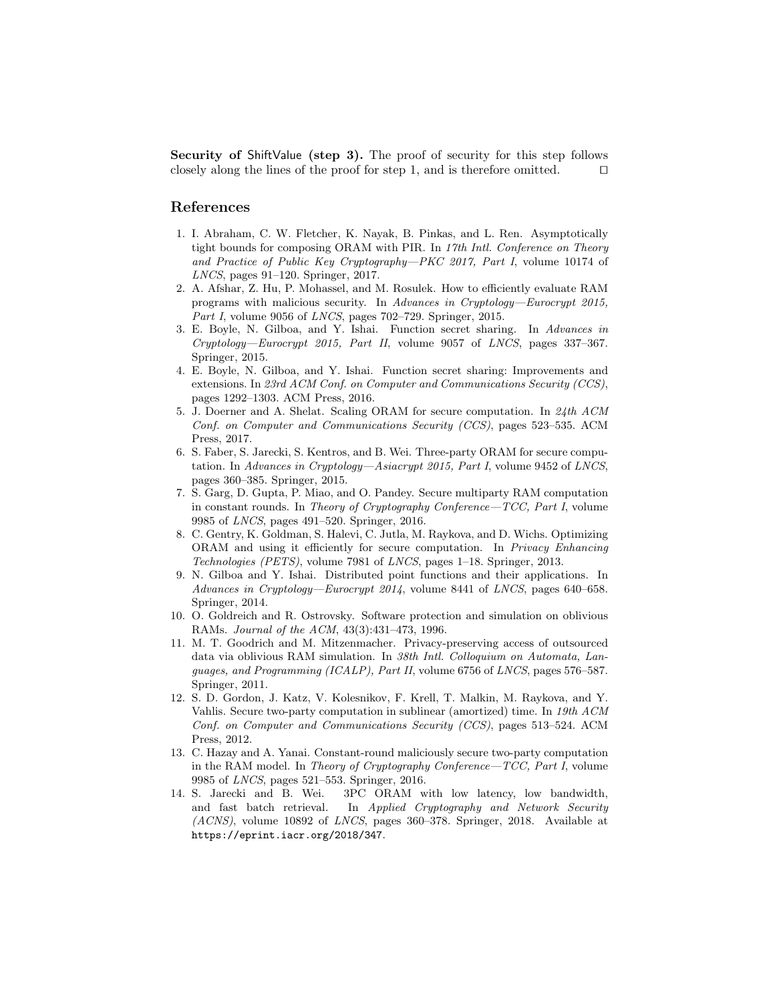Security of ShiftValue (step 3). The proof of security for this step follows closely along the lines of the proof for step 1, and is therefore omitted.  $\Box$ 

### References

- 1. I. Abraham, C. W. Fletcher, K. Nayak, B. Pinkas, and L. Ren. Asymptotically tight bounds for composing ORAM with PIR. In 17th Intl. Conference on Theory and Practice of Public Key Cryptography—PKC 2017, Part I, volume 10174 of LNCS, pages 91–120. Springer, 2017.
- 2. A. Afshar, Z. Hu, P. Mohassel, and M. Rosulek. How to efficiently evaluate RAM programs with malicious security. In Advances in Cryptology—Eurocrypt 2015, Part I, volume 9056 of LNCS, pages 702–729. Springer, 2015.
- 3. E. Boyle, N. Gilboa, and Y. Ishai. Function secret sharing. In Advances in Cryptology—Eurocrypt 2015, Part II, volume 9057 of LNCS, pages 337–367. Springer, 2015.
- 4. E. Boyle, N. Gilboa, and Y. Ishai. Function secret sharing: Improvements and extensions. In 23rd ACM Conf. on Computer and Communications Security (CCS), pages 1292–1303. ACM Press, 2016.
- 5. J. Doerner and A. Shelat. Scaling ORAM for secure computation. In 24th ACM Conf. on Computer and Communications Security (CCS), pages 523–535. ACM Press, 2017.
- 6. S. Faber, S. Jarecki, S. Kentros, and B. Wei. Three-party ORAM for secure computation. In Advances in Cryptology—Asiacrypt 2015, Part I, volume 9452 of LNCS, pages 360–385. Springer, 2015.
- 7. S. Garg, D. Gupta, P. Miao, and O. Pandey. Secure multiparty RAM computation in constant rounds. In Theory of Cryptography Conference—TCC, Part I, volume 9985 of LNCS, pages 491–520. Springer, 2016.
- 8. C. Gentry, K. Goldman, S. Halevi, C. Jutla, M. Raykova, and D. Wichs. Optimizing ORAM and using it efficiently for secure computation. In Privacy Enhancing Technologies (PETS), volume 7981 of LNCS, pages 1–18. Springer, 2013.
- 9. N. Gilboa and Y. Ishai. Distributed point functions and their applications. In Advances in Cryptology—Eurocrypt 2014, volume 8441 of LNCS, pages 640–658. Springer, 2014.
- 10. O. Goldreich and R. Ostrovsky. Software protection and simulation on oblivious RAMs. Journal of the ACM, 43(3):431–473, 1996.
- 11. M. T. Goodrich and M. Mitzenmacher. Privacy-preserving access of outsourced data via oblivious RAM simulation. In 38th Intl. Colloquium on Automata, Languages, and Programming (ICALP), Part II, volume 6756 of LNCS, pages 576–587. Springer, 2011.
- 12. S. D. Gordon, J. Katz, V. Kolesnikov, F. Krell, T. Malkin, M. Raykova, and Y. Vahlis. Secure two-party computation in sublinear (amortized) time. In 19th ACM Conf. on Computer and Communications Security (CCS), pages 513–524. ACM Press, 2012.
- 13. C. Hazay and A. Yanai. Constant-round maliciously secure two-party computation in the RAM model. In Theory of Cryptography Conference—TCC, Part I, volume 9985 of LNCS, pages 521–553. Springer, 2016.
- 14. S. Jarecki and B. Wei. 3PC ORAM with low latency, low bandwidth, and fast batch retrieval. In Applied Cryptography and Network Security (ACNS), volume 10892 of LNCS, pages 360–378. Springer, 2018. Available at https://eprint.iacr.org/2018/347.